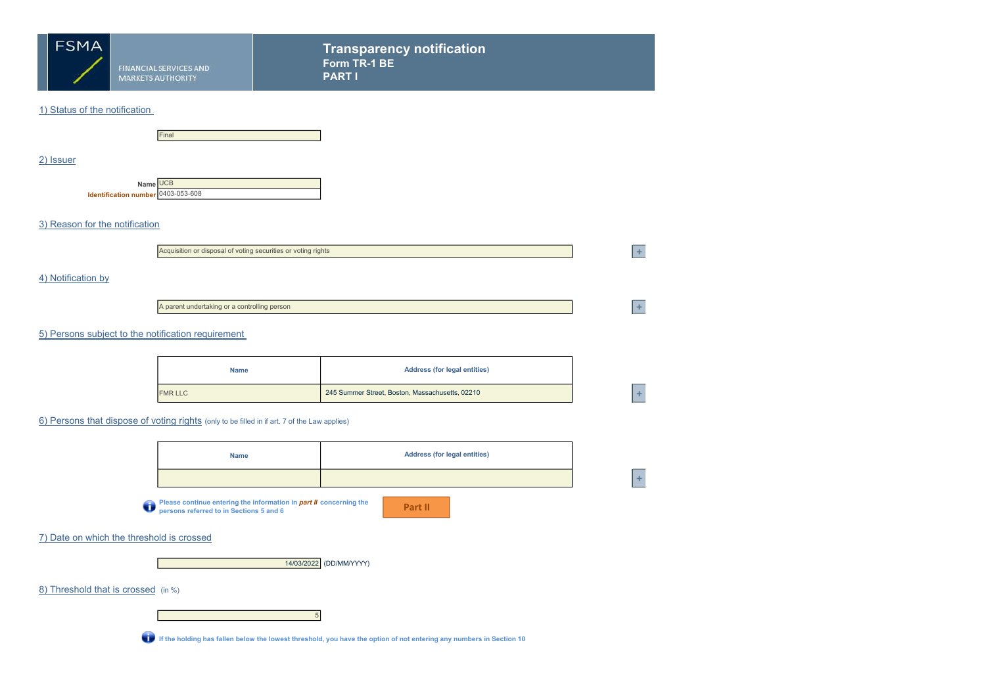

Transparency notification Form TR-1 BE PART I

 $+$ 

 $\pm$ 

### 1) Status of the notification



#### 2) Issuer

Name UCB Identification number 0403-053-608

### 3) Reason for the notification

| Acquisition or disposal of voting securities or voting rights |  |
|---------------------------------------------------------------|--|
|---------------------------------------------------------------|--|

### 4) Notification by

A parent undertaking or a controlling person

# 5) Persons subject to the notification requirement

| <b>Name</b>    | <b>Address (for legal entities)</b>             |  |
|----------------|-------------------------------------------------|--|
| <b>FMR LLC</b> | 245 Summer Street, Boston, Massachusetts, 02210 |  |

### 6) Persons that dispose of voting rights (only to be filled in if art. 7 of the Law applies)

|                                           | <b>Name</b>                                                                                                   | <b>Address (for legal entities)</b>                                                                                 |     |  |  |  |  |
|-------------------------------------------|---------------------------------------------------------------------------------------------------------------|---------------------------------------------------------------------------------------------------------------------|-----|--|--|--|--|
|                                           |                                                                                                               |                                                                                                                     | $+$ |  |  |  |  |
| O                                         | Please continue entering the information in part II concerning the<br>persons referred to in Sections 5 and 6 | Part II                                                                                                             |     |  |  |  |  |
| 7) Date on which the threshold is crossed |                                                                                                               |                                                                                                                     |     |  |  |  |  |
|                                           |                                                                                                               | 14/03/2022 (DD/MM/YYYY)                                                                                             |     |  |  |  |  |
| 8) Threshold that is crossed (in %)       |                                                                                                               |                                                                                                                     |     |  |  |  |  |
|                                           | 5                                                                                                             |                                                                                                                     |     |  |  |  |  |
| ū                                         |                                                                                                               | If the holding has fallen below the lowest threshold, you have the option of not entering any numbers in Section 10 |     |  |  |  |  |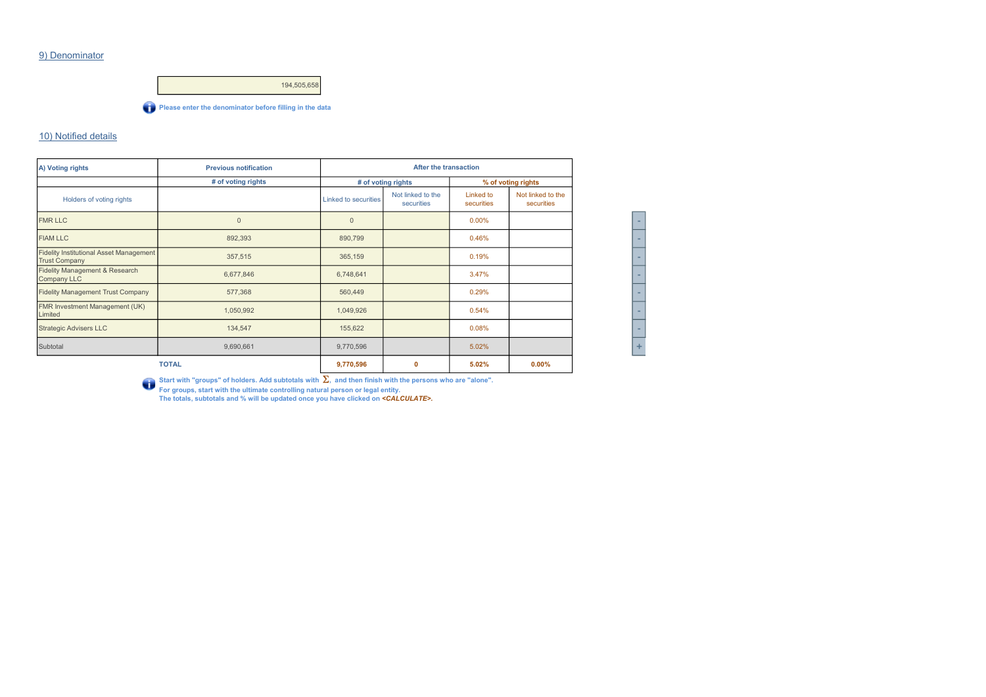### 9) Denominator



#### 10) Notified details

| A) Voting rights                                                       | <b>Previous notification</b> | After the transaction |                                 |                         |                                 |
|------------------------------------------------------------------------|------------------------------|-----------------------|---------------------------------|-------------------------|---------------------------------|
|                                                                        | # of voting rights           |                       | # of voting rights              |                         | % of voting rights              |
| Holders of voting rights                                               |                              | Linked to securities  | Not linked to the<br>securities | Linked to<br>securities | Not linked to the<br>securities |
| <b>FMR LLC</b>                                                         | $\overline{0}$               | $\mathbf{0}$          |                                 | 0.00%                   |                                 |
| <b>FIAM LLC</b>                                                        | 892,393                      | 890,799               |                                 | 0.46%                   |                                 |
| <b>Fidelity Institutional Asset Management</b><br><b>Trust Company</b> | 357,515                      | 365,159               |                                 | 0.19%                   |                                 |
| Fidelity Management & Research<br>Company LLC                          | 6,677,846                    | 6,748,641             |                                 | 3.47%                   |                                 |
| <b>Fidelity Management Trust Company</b>                               | 577,368                      | 560,449               |                                 | 0.29%                   |                                 |
| FMR Investment Management (UK)<br>Limited                              | 1,050,992                    | 1,049,926             |                                 | 0.54%                   |                                 |
| <b>Strategic Advisers LLC</b>                                          | 134,547                      | 155,622               |                                 | 0.08%                   |                                 |
| Subtotal                                                               | 9,690,661                    | 9,770,596             |                                 | 5.02%                   |                                 |
|                                                                        | <b>TOTAL</b>                 | 9,770,596             | $\mathbf{0}$                    | 5.02%                   | 0.00%                           |

| ۰ |
|---|
| - |
| ۰ |
|   |
| ۰ |
| - |
|   |
| ı |

Start with "groups" of holders. Add subtotals with Σ<sub>n</sub>, and then finish with the persons who are "alone".<br>For groups, start with the ultimate controlling natural person or legal entity.<br>The totals, subtotals and % will b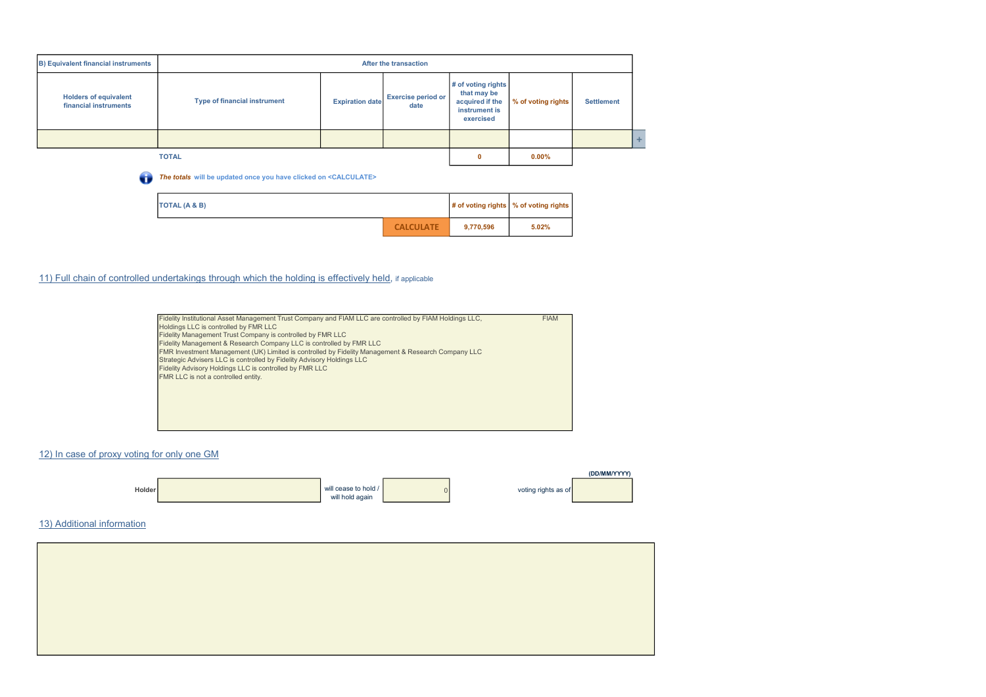| <b>B) Equivalent financial instruments</b>            | <b>After the transaction</b>        |                        |                                   |                                                                                    |                    |                   |  |
|-------------------------------------------------------|-------------------------------------|------------------------|-----------------------------------|------------------------------------------------------------------------------------|--------------------|-------------------|--|
| <b>Holders of equivalent</b><br>financial instruments | <b>Type of financial instrument</b> | <b>Expiration date</b> | <b>Exercise period or</b><br>date | # of voting rights<br>that may be<br>acquired if the<br>instrument is<br>exercised | % of voting rights | <b>Settlement</b> |  |
|                                                       |                                     |                        |                                   |                                                                                    |                    |                   |  |
|                                                       | <b>TOTAL</b>                        |                        |                                   | 0                                                                                  | $0.00\%$           |                   |  |

The totals will be updated once you have clicked on <CALCULATE>

| TOTAL (A & B) |                  |           | # of voting rights   % of voting rights |
|---------------|------------------|-----------|-----------------------------------------|
|               | <b>CALCULATE</b> | 9,770,596 | 5.02%                                   |

# 11) Full chain of controlled undertakings through which the holding is effectively held, if applicable

| Fidelity Institutional Asset Management Trust Company and FIAM LLC are controlled by FIAM Holdings LLC, | <b>FIAM</b> |
|---------------------------------------------------------------------------------------------------------|-------------|
| Holdings LLC is controlled by FMR LLC                                                                   |             |
| Fidelity Management Trust Company is controlled by FMR LLC                                              |             |
| Fidelity Management & Research Company LLC is controlled by FMR LLC                                     |             |
| FMR Investment Management (UK) Limited is controlled by Fidelity Management & Research Company LLC      |             |
| Strategic Advisers LLC is controlled by Fidelity Advisory Holdings LLC                                  |             |
| Fidelity Advisory Holdings LLC is controlled by FMR LLC                                                 |             |
| FMR LLC is not a controlled entity.                                                                     |             |
|                                                                                                         |             |
|                                                                                                         |             |
|                                                                                                         |             |
|                                                                                                         |             |
|                                                                                                         |             |

# 12) In case of proxy voting for only one GM



# 13) Additional information